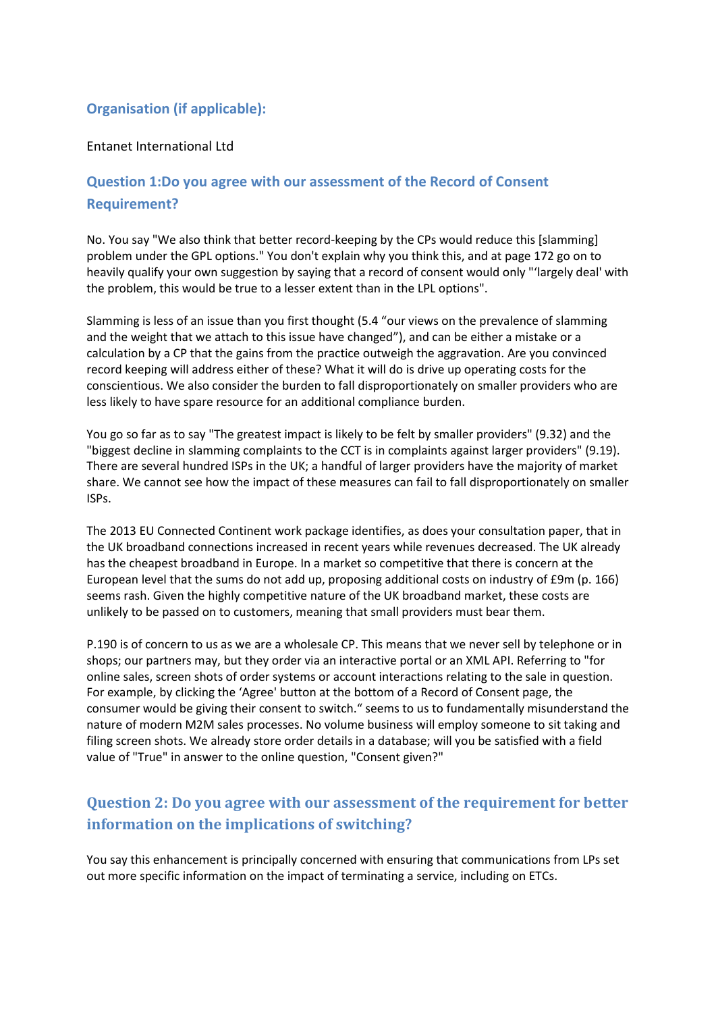### **Organisation (if applicable):**

### Entanet International Ltd

## **Question 1:Do you agree with our assessment of the Record of Consent Requirement?**

No. You say "We also think that better record-keeping by the CPs would reduce this [slamming] problem under the GPL options." You don't explain why you think this, and at page 172 go on to heavily qualify your own suggestion by saying that a record of consent would only "'largely deal' with the problem, this would be true to a lesser extent than in the LPL options".

Slamming is less of an issue than you first thought (5.4 "our views on the prevalence of slamming and the weight that we attach to this issue have changed"), and can be either a mistake or a calculation by a CP that the gains from the practice outweigh the aggravation. Are you convinced record keeping will address either of these? What it will do is drive up operating costs for the conscientious. We also consider the burden to fall disproportionately on smaller providers who are less likely to have spare resource for an additional compliance burden.

You go so far as to say "The greatest impact is likely to be felt by smaller providers" (9.32) and the "biggest decline in slamming complaints to the CCT is in complaints against larger providers" (9.19). There are several hundred ISPs in the UK; a handful of larger providers have the majority of market share. We cannot see how the impact of these measures can fail to fall disproportionately on smaller ISPs.

The 2013 EU Connected Continent work package identifies, as does your consultation paper, that in the UK broadband connections increased in recent years while revenues decreased. The UK already has the cheapest broadband in Europe. In a market so competitive that there is concern at the European level that the sums do not add up, proposing additional costs on industry of £9m (p. 166) seems rash. Given the highly competitive nature of the UK broadband market, these costs are unlikely to be passed on to customers, meaning that small providers must bear them.

P.190 is of concern to us as we are a wholesale CP. This means that we never sell by telephone or in shops; our partners may, but they order via an interactive portal or an XML API. Referring to "for online sales, screen shots of order systems or account interactions relating to the sale in question. For example, by clicking the 'Agree' button at the bottom of a Record of Consent page, the consumer would be giving their consent to switch." seems to us to fundamentally misunderstand the nature of modern M2M sales processes. No volume business will employ someone to sit taking and filing screen shots. We already store order details in a database; will you be satisfied with a field value of "True" in answer to the online question, "Consent given?"

## **Question 2: Do you agree with our assessment of the requirement for better information on the implications of switching?**

You say this enhancement is principally concerned with ensuring that communications from LPs set out more specific information on the impact of terminating a service, including on ETCs.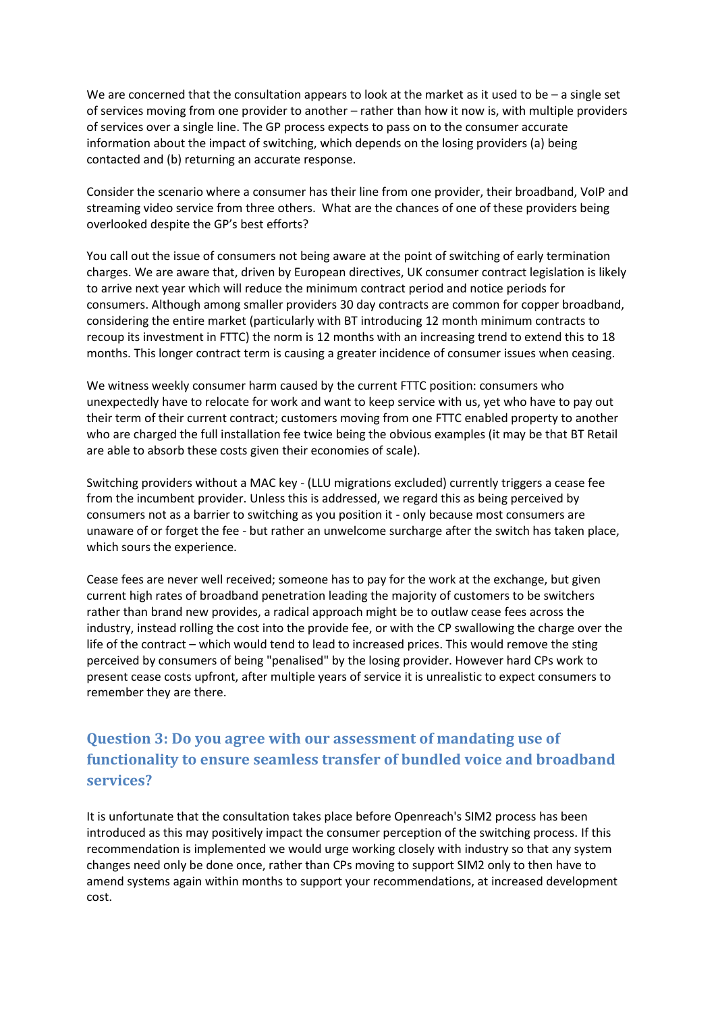We are concerned that the consultation appears to look at the market as it used to be  $-$  a single set of services moving from one provider to another – rather than how it now is, with multiple providers of services over a single line. The GP process expects to pass on to the consumer accurate information about the impact of switching, which depends on the losing providers (a) being contacted and (b) returning an accurate response.

Consider the scenario where a consumer has their line from one provider, their broadband, VoIP and streaming video service from three others. What are the chances of one of these providers being overlooked despite the GP's best efforts?

You call out the issue of consumers not being aware at the point of switching of early termination charges. We are aware that, driven by European directives, UK consumer contract legislation is likely to arrive next year which will reduce the minimum contract period and notice periods for consumers. Although among smaller providers 30 day contracts are common for copper broadband, considering the entire market (particularly with BT introducing 12 month minimum contracts to recoup its investment in FTTC) the norm is 12 months with an increasing trend to extend this to 18 months. This longer contract term is causing a greater incidence of consumer issues when ceasing.

We witness weekly consumer harm caused by the current FTTC position: consumers who unexpectedly have to relocate for work and want to keep service with us, yet who have to pay out their term of their current contract; customers moving from one FTTC enabled property to another who are charged the full installation fee twice being the obvious examples (it may be that BT Retail are able to absorb these costs given their economies of scale).

Switching providers without a MAC key - (LLU migrations excluded) currently triggers a cease fee from the incumbent provider. Unless this is addressed, we regard this as being perceived by consumers not as a barrier to switching as you position it - only because most consumers are unaware of or forget the fee - but rather an unwelcome surcharge after the switch has taken place, which sours the experience.

Cease fees are never well received; someone has to pay for the work at the exchange, but given current high rates of broadband penetration leading the majority of customers to be switchers rather than brand new provides, a radical approach might be to outlaw cease fees across the industry, instead rolling the cost into the provide fee, or with the CP swallowing the charge over the life of the contract – which would tend to lead to increased prices. This would remove the sting perceived by consumers of being "penalised" by the losing provider. However hard CPs work to present cease costs upfront, after multiple years of service it is unrealistic to expect consumers to remember they are there.

# **Question 3: Do you agree with our assessment of mandating use of functionality to ensure seamless transfer of bundled voice and broadband services?**

It is unfortunate that the consultation takes place before Openreach's SIM2 process has been introduced as this may positively impact the consumer perception of the switching process. If this recommendation is implemented we would urge working closely with industry so that any system changes need only be done once, rather than CPs moving to support SIM2 only to then have to amend systems again within months to support your recommendations, at increased development cost.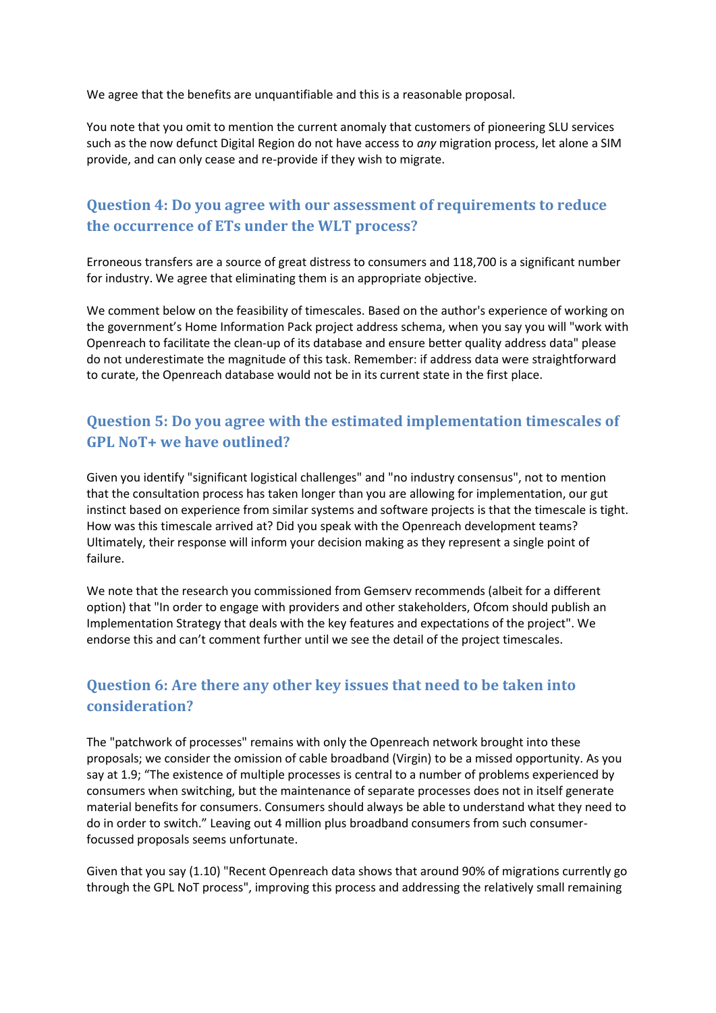We agree that the benefits are unquantifiable and this is a reasonable proposal.

You note that you omit to mention the current anomaly that customers of pioneering SLU services such as the now defunct Digital Region do not have access to *any* migration process, let alone a SIM provide, and can only cease and re-provide if they wish to migrate.

## **Question 4: Do you agree with our assessment of requirements to reduce the occurrence of ETs under the WLT process?**

Erroneous transfers are a source of great distress to consumers and 118,700 is a significant number for industry. We agree that eliminating them is an appropriate objective.

We comment below on the feasibility of timescales. Based on the author's experience of working on the government's Home Information Pack project address schema, when you say you will "work with Openreach to facilitate the clean-up of its database and ensure better quality address data" please do not underestimate the magnitude of this task. Remember: if address data were straightforward to curate, the Openreach database would not be in its current state in the first place.

## **Question 5: Do you agree with the estimated implementation timescales of GPL NoT+ we have outlined?**

Given you identify "significant logistical challenges" and "no industry consensus", not to mention that the consultation process has taken longer than you are allowing for implementation, our gut instinct based on experience from similar systems and software projects is that the timescale is tight. How was this timescale arrived at? Did you speak with the Openreach development teams? Ultimately, their response will inform your decision making as they represent a single point of failure.

We note that the research you commissioned from Gemserv recommends (albeit for a different option) that "In order to engage with providers and other stakeholders, Ofcom should publish an Implementation Strategy that deals with the key features and expectations of the project". We endorse this and can't comment further until we see the detail of the project timescales.

## **Question 6: Are there any other key issues that need to be taken into consideration?**

The "patchwork of processes" remains with only the Openreach network brought into these proposals; we consider the omission of cable broadband (Virgin) to be a missed opportunity. As you say at 1.9; "The existence of multiple processes is central to a number of problems experienced by consumers when switching, but the maintenance of separate processes does not in itself generate material benefits for consumers. Consumers should always be able to understand what they need to do in order to switch." Leaving out 4 million plus broadband consumers from such consumerfocussed proposals seems unfortunate.

Given that you say (1.10) "Recent Openreach data shows that around 90% of migrations currently go through the GPL NoT process", improving this process and addressing the relatively small remaining